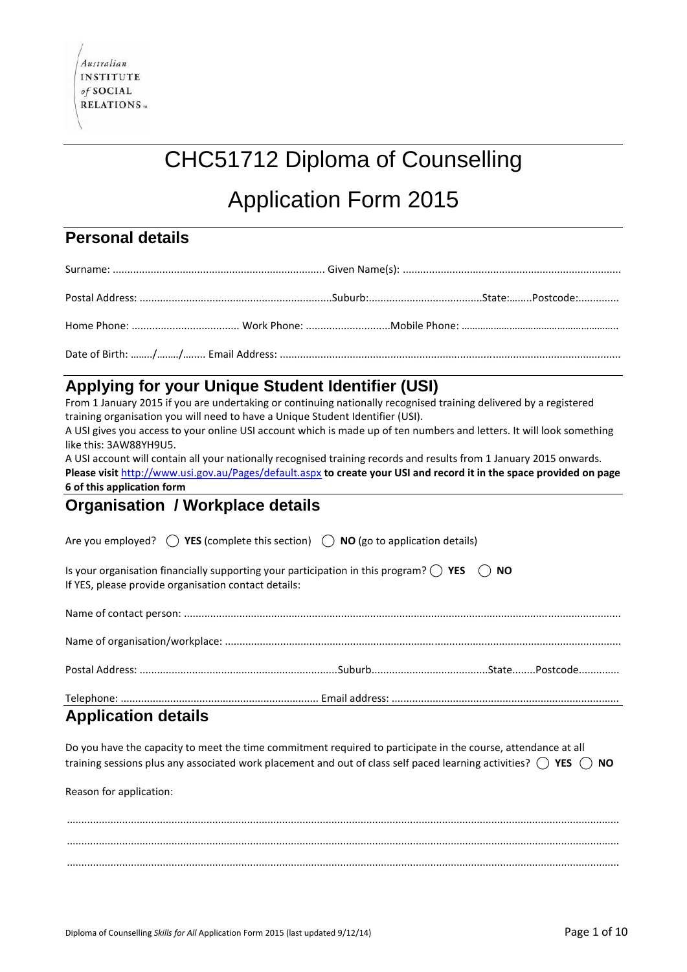# CHC51712 Diploma of Counselling

# Application Form 2015

### **Personal details**

# **Applying for your Unique Student Identifier (USI)**

From 1 January 2015 if you are undertaking or continuing nationally recognised training delivered by a registered training organisation you will need to have a Unique Student Identifier (USI).

A USI gives you access to your online USI account which is made up of ten numbers and letters. It will look something like this: 3AW88YH9U5.

A USI account will contain all your nationally recognised training records and results from 1 January 2015 onwards. **Please visit** <http://www.usi.gov.au/Pages/default.aspx> **to create your USI and record it in the space provided on page 6 of this application form**

## **Organisation / Workplace details**

Are you employed? **⃝ YES** (complete this section) **⃝ NO** (go to application details) Is your organisation financially supporting your participation in this program? **⃝ YES ⃝ NO** If YES, please provide organisation contact details: Name of contact person: ...................................................................................................................................................... Name of organisation/workplace: ........................................................................................................................................ Postal Address: ....................................................................Suburb........................................State........Postcode.............. Telephone: .................................................................... Email address: ..............................................................................

# **Application details**

Do you have the capacity to meet the time commitment required to participate in the course, attendance at all training sessions plus any associated work placement and out of class self paced learning activities? **⃝ YES ⃝ NO**

Reason for application:

.............................................................................................................................................................................................. .............................................................................................................................................................................................. ..............................................................................................................................................................................................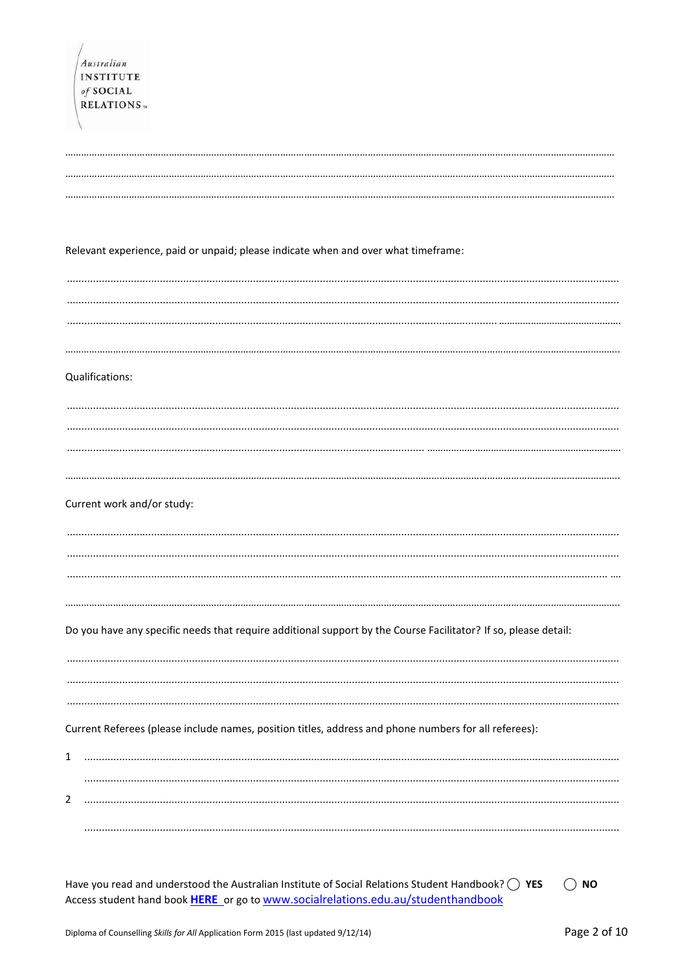| Australian<br><b>INSTITUTE</b><br>of SOCIAL                                                                     |
|-----------------------------------------------------------------------------------------------------------------|
| <b>RELATIONS</b>                                                                                                |
|                                                                                                                 |
| Relevant experience, paid or unpaid; please indicate when and over what timeframe:                              |
|                                                                                                                 |
|                                                                                                                 |
| Qualifications:                                                                                                 |
|                                                                                                                 |
| Current work and/or study:                                                                                      |
|                                                                                                                 |
| Do you have any specific needs that require additional support by the Course Facilitator? If so, please detail: |
|                                                                                                                 |
| Current Referees (please include names, position titles, address and phone numbers for all referees):<br>1      |
| 2                                                                                                               |
|                                                                                                                 |

Have you read and understood the Australian Institute of Social Relations Student Handbook?  $\bigcirc$  YES  $\bigcirc$  NO Access student hand book HERE or go to www.socialrelations.edu.au/studenthandbook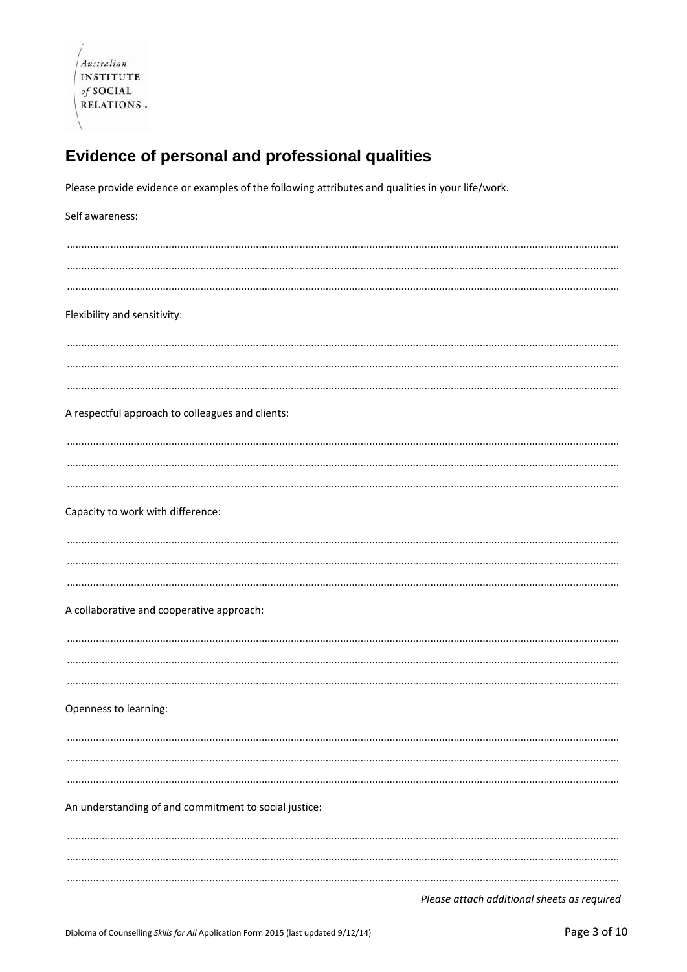# Evidence of personal and professional qualities

Please provide evidence or examples of the following attributes and qualities in your life/work.

| Self awareness:                                       |
|-------------------------------------------------------|
|                                                       |
|                                                       |
| Flexibility and sensitivity:                          |
|                                                       |
|                                                       |
| A respectful approach to colleagues and clients:      |
|                                                       |
|                                                       |
| Capacity to work with difference:                     |
|                                                       |
|                                                       |
| A collaborative and cooperative approach:             |
|                                                       |
|                                                       |
| Openness to learning:                                 |
|                                                       |
|                                                       |
| An understanding of and commitment to social justice: |
|                                                       |
|                                                       |
|                                                       |

Please attach additional sheets as required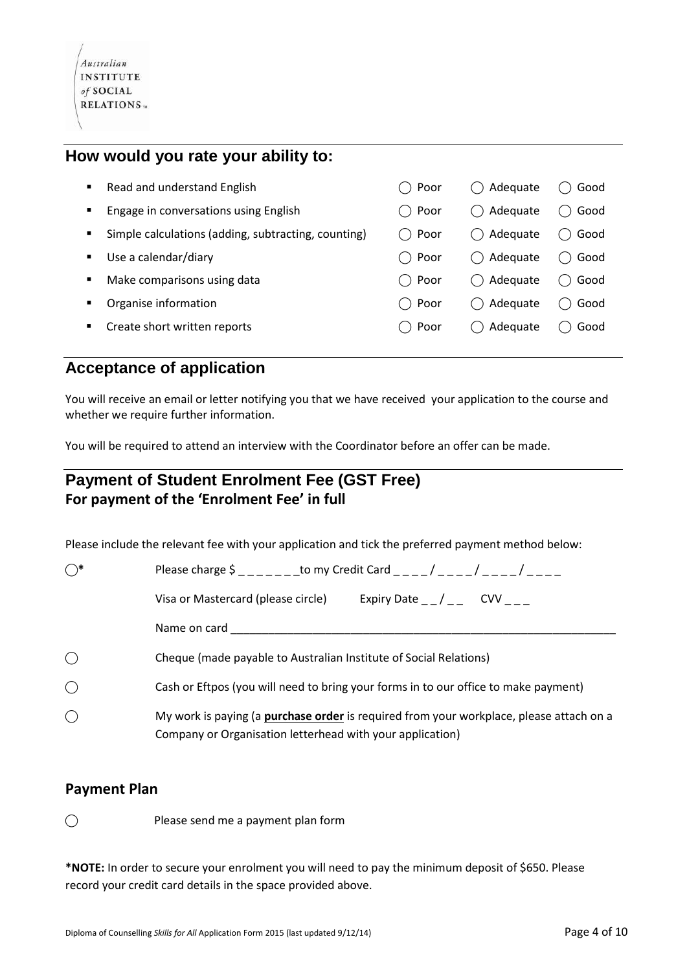#### **How would you rate your ability to:**

| ٠              | Read and understand English                         | ()Poor          | Adequate | Good |
|----------------|-----------------------------------------------------|-----------------|----------|------|
| ٠              | Engage in conversations using English               | ^)Poor          | Adequate | Good |
| $\blacksquare$ | Simple calculations (adding, subtracting, counting) | ⊢Poor           | Adequate | Good |
| ٠              | Use a calendar/diary                                | $\bigcirc$ Poor | Adequate | Good |
|                | Make comparisons using data                         | ( )Poor         | Adequate | Good |
| п              | Organise information                                | ( )Poor         | Adequate | Good |
| ٠              | Create short written reports                        | ⊢Poor           | Adequate | Good |
|                |                                                     |                 |          |      |

### **Acceptance of application**

You will receive an email or letter notifying you that we have received your application to the course and whether we require further information.

You will be required to attend an interview with the Coordinator before an offer can be made.

### **Payment of Student Enrolment Fee (GST Free) For payment of the 'Enrolment Fee' in full**

Please include the relevant fee with your application and tick the preferred payment method below:

| $\bigcirc^*$ | Please charge $\frac{1}{2}$ - - - - - - to my Credit Card - - - / - - - / - - - - / - - - -                                                                 |  |  |  |  |
|--------------|-------------------------------------------------------------------------------------------------------------------------------------------------------------|--|--|--|--|
|              | Expiry Date $_{-}/_{-}$ CVV $_{-}$<br>Visa or Mastercard (please circle)                                                                                    |  |  |  |  |
|              | Name on card                                                                                                                                                |  |  |  |  |
| $\bigcirc$   | Cheque (made payable to Australian Institute of Social Relations)                                                                                           |  |  |  |  |
| $\bigcirc$   | Cash or Eftpos (you will need to bring your forms in to our office to make payment)                                                                         |  |  |  |  |
| $\bigcirc$   | My work is paying (a <b>purchase order</b> is required from your workplace, please attach on a<br>Company or Organisation letterhead with your application) |  |  |  |  |

#### **Payment Plan**

⃝ Please send me a payment plan form

**\*NOTE:** In order to secure your enrolment you will need to pay the minimum deposit of \$650. Please record your credit card details in the space provided above.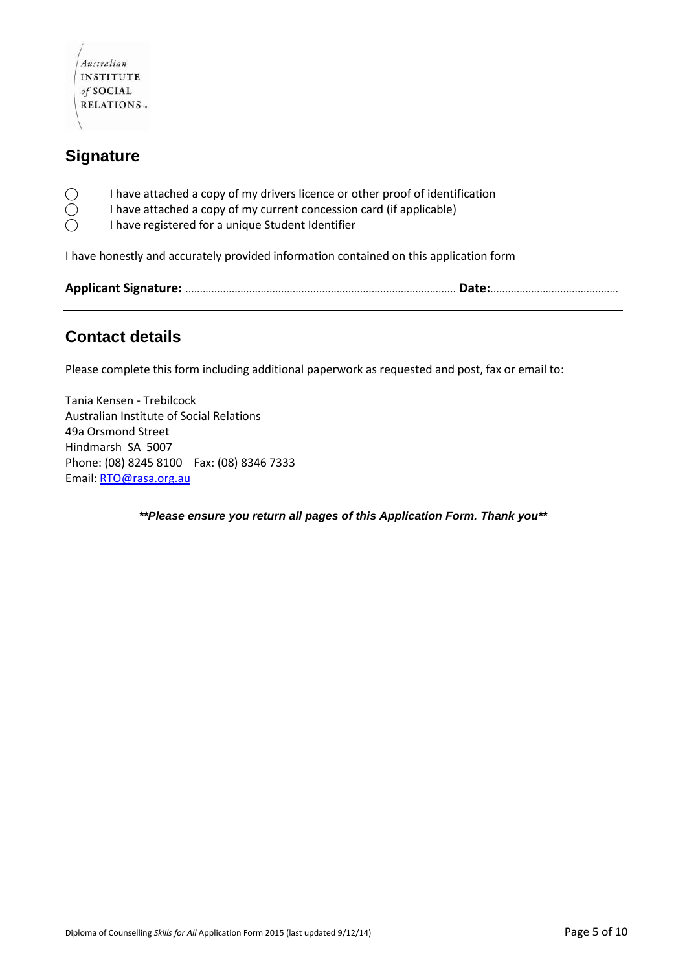

### **Signature**

- $\bigcirc$  I have attached a copy of my drivers licence or other proof of identification  $\bigcirc$  I have attached a copy of my current concession card (if applicable)
	- ⃝ I have attached a copy of my current concession card (if applicable)
- ⃝ I have registered for a unique Student Identifier

I have honestly and accurately provided information contained on this application form

### **Contact details**

Please complete this form including additional paperwork as requested and post, fax or email to:

Tania Kensen - Trebilcock Australian Institute of Social Relations 49a Orsmond Street Hindmarsh SA 5007 Phone: (08) 8245 8100 Fax: (08) 8346 7333 Email[: RTO@rasa.org.au](mailto:RTO@rasa.org.au)

*\*\*Please ensure you return all pages of this Application Form. Thank you\*\**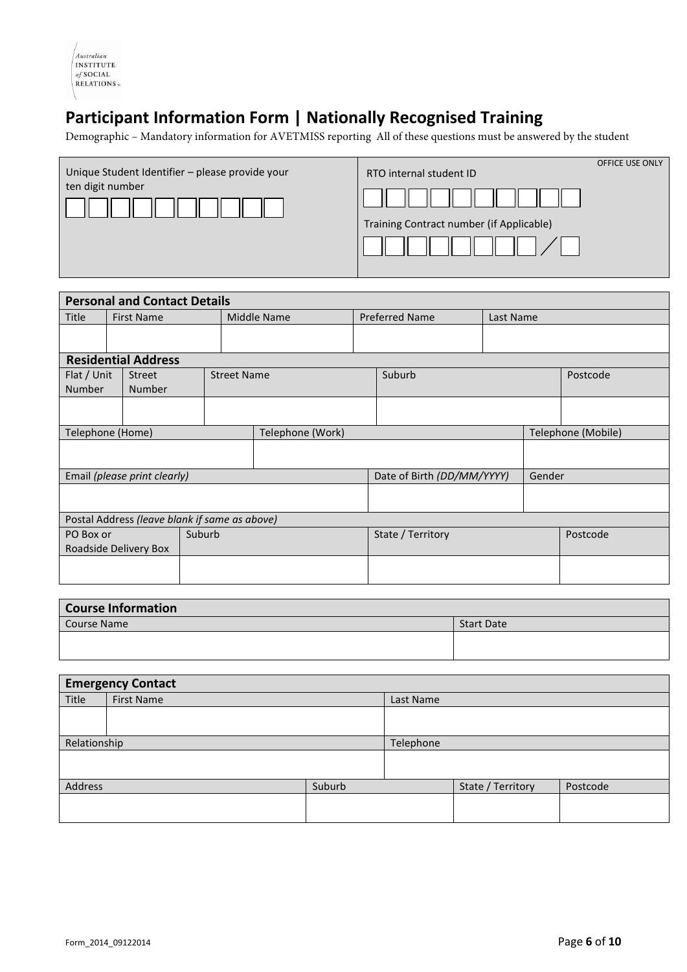| Australian       |
|------------------|
| <b>INSTITUTE</b> |
| of SOCIAL        |
| <b>RELATIONS</b> |

# **Participant Information Form | Nationally Recognised Training**

Demographic – Mandatory information for AVETMISS reporting All of these questions must be answered by the student

| Unique Student Identifier - please provide your<br>ten digit number | RTO internal student ID                  | <b>OFFICE USE ONLY</b> |
|---------------------------------------------------------------------|------------------------------------------|------------------------|
|                                                                     |                                          |                        |
|                                                                     | Training Contract number (if Applicable) |                        |
|                                                                     |                                          |                        |

| <b>Personal and Contact Details</b>           |  |                            |                            |                    |        |                                    |        |  |  |          |
|-----------------------------------------------|--|----------------------------|----------------------------|--------------------|--------|------------------------------------|--------|--|--|----------|
| Title                                         |  | <b>First Name</b>          | Middle Name                |                    |        | <b>Preferred Name</b><br>Last Name |        |  |  |          |
|                                               |  |                            |                            |                    |        |                                    |        |  |  |          |
|                                               |  |                            |                            |                    |        |                                    |        |  |  |          |
|                                               |  | <b>Residential Address</b> |                            |                    |        |                                    |        |  |  |          |
| Flat / Unit                                   |  | <b>Street</b>              |                            | <b>Street Name</b> |        |                                    | Suburb |  |  | Postcode |
| <b>Number</b>                                 |  | <b>Number</b>              |                            |                    |        |                                    |        |  |  |          |
|                                               |  |                            |                            |                    |        |                                    |        |  |  |          |
|                                               |  |                            |                            |                    |        |                                    |        |  |  |          |
| Telephone (Work)<br>Telephone (Home)          |  |                            |                            |                    |        | Telephone (Mobile)                 |        |  |  |          |
|                                               |  |                            |                            |                    |        |                                    |        |  |  |          |
|                                               |  |                            |                            |                    |        |                                    |        |  |  |          |
| Email (please print clearly)                  |  |                            | Date of Birth (DD/MM/YYYY) |                    | Gender |                                    |        |  |  |          |
|                                               |  |                            |                            |                    |        |                                    |        |  |  |          |
|                                               |  |                            |                            |                    |        |                                    |        |  |  |          |
| Postal Address (leave blank if same as above) |  |                            |                            |                    |        |                                    |        |  |  |          |
| Suburb<br>PO Box or                           |  |                            |                            | State / Territory  |        | Postcode                           |        |  |  |          |
| Roadside Delivery Box                         |  |                            |                            |                    |        |                                    |        |  |  |          |
|                                               |  |                            |                            |                    |        |                                    |        |  |  |          |
|                                               |  |                            |                            |                    |        |                                    |        |  |  |          |
|                                               |  |                            |                            |                    |        |                                    |        |  |  |          |

| <b>Course Information</b> |                   |  |
|---------------------------|-------------------|--|
| Course Name               | <b>Start Date</b> |  |
|                           |                   |  |
|                           |                   |  |

| <b>Emergency Contact</b> |            |        |           |                   |          |  |  |
|--------------------------|------------|--------|-----------|-------------------|----------|--|--|
| Title                    | First Name |        |           | Last Name         |          |  |  |
|                          |            |        |           |                   |          |  |  |
|                          |            |        |           |                   |          |  |  |
| Relationship             |            |        | Telephone |                   |          |  |  |
|                          |            |        |           |                   |          |  |  |
|                          |            |        |           |                   |          |  |  |
| Address                  |            | Suburb |           | State / Territory | Postcode |  |  |
|                          |            |        |           |                   |          |  |  |
|                          |            |        |           |                   |          |  |  |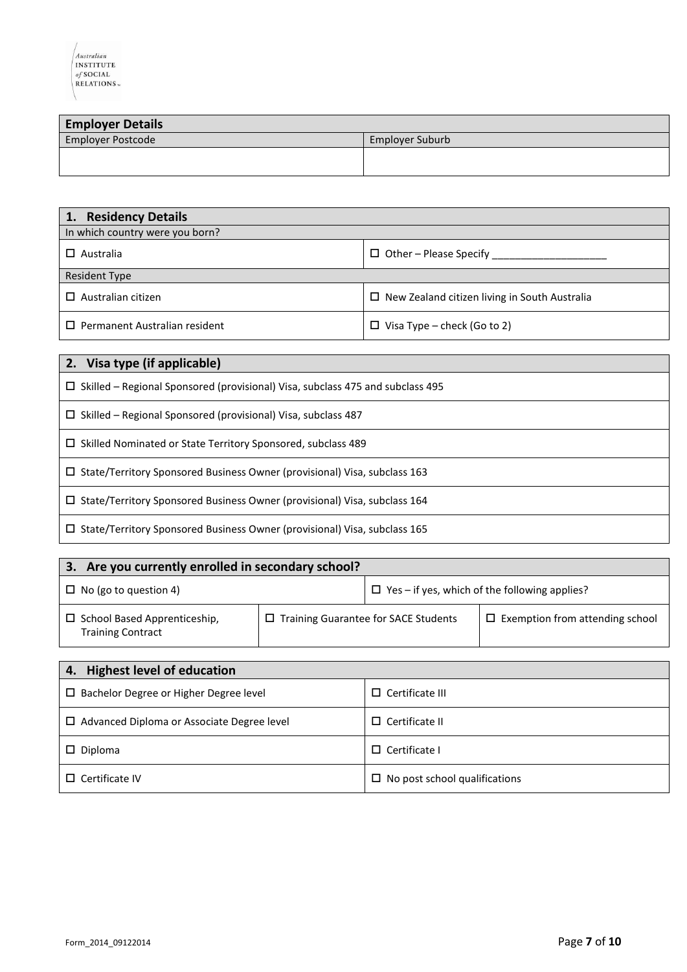| <b>Employer Details</b>  |                 |  |  |  |
|--------------------------|-----------------|--|--|--|
| <b>Employer Postcode</b> | Employer Suburb |  |  |  |
|                          |                 |  |  |  |
|                          |                 |  |  |  |

| 1. Residency Details                 |                                                      |  |  |
|--------------------------------------|------------------------------------------------------|--|--|
| In which country were you born?      |                                                      |  |  |
| $\Box$ Australia                     | $\Box$ Other – Please Specify                        |  |  |
| <b>Resident Type</b>                 |                                                      |  |  |
| $\Box$ Australian citizen            | $\Box$ New Zealand citizen living in South Australia |  |  |
| $\Box$ Permanent Australian resident | $\Box$ Visa Type – check (Go to 2)                   |  |  |

| 2. Visa type (if applicable)                                                          |
|---------------------------------------------------------------------------------------|
| $\Box$ Skilled – Regional Sponsored (provisional) Visa, subclass 475 and subclass 495 |
| $\Box$ Skilled – Regional Sponsored (provisional) Visa, subclass 487                  |
| $\Box$ Skilled Nominated or State Territory Sponsored, subclass 489                   |
| $\Box$ State/Territory Sponsored Business Owner (provisional) Visa, subclass 163      |
| $\Box$ State/Territory Sponsored Business Owner (provisional) Visa, subclass 164      |
| $\Box$ State/Territory Sponsored Business Owner (provisional) Visa, subclass 165      |

| Are you currently enrolled in secondary school?<br>З.           |                                        |  |                                                      |  |
|-----------------------------------------------------------------|----------------------------------------|--|------------------------------------------------------|--|
| $\Box$ No (go to question 4)                                    |                                        |  | $\Box$ Yes – if yes, which of the following applies? |  |
| $\Box$ School Based Apprenticeship,<br><b>Training Contract</b> | □ Training Guarantee for SACE Students |  | $\Box$ Exemption from attending school               |  |
|                                                                 |                                        |  |                                                      |  |

| 4. Highest level of education                 |                                      |  |  |
|-----------------------------------------------|--------------------------------------|--|--|
| $\Box$ Bachelor Degree or Higher Degree level | $\Box$ Certificate III               |  |  |
| □ Advanced Diploma or Associate Degree level  | $\Box$ Certificate II                |  |  |
| $\Box$ Diploma                                | $\Box$ Certificate I                 |  |  |
| $\Box$ Certificate IV                         | $\Box$ No post school qualifications |  |  |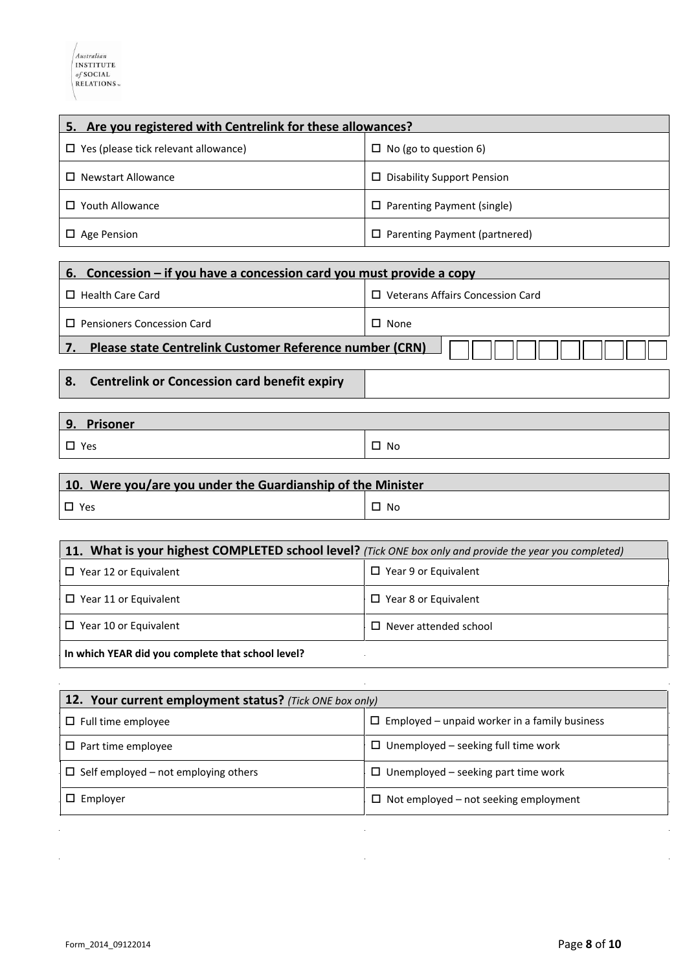| 5. Are you registered with Centrelink for these allowances? |                                      |  |  |
|-------------------------------------------------------------|--------------------------------------|--|--|
| $\Box$ Yes (please tick relevant allowance)                 | $\Box$ No (go to question 6)         |  |  |
| <b>Newstart Allowance</b>                                   | $\Box$ Disability Support Pension    |  |  |
| Youth Allowance                                             | $\Box$ Parenting Payment (single)    |  |  |
| $\Box$ Age Pension                                          | $\Box$ Parenting Payment (partnered) |  |  |

| 6. Concession – if you have a concession card you must provide a copy |                                         |  |  |  |
|-----------------------------------------------------------------------|-----------------------------------------|--|--|--|
| $\Box$ Health Care Card                                               | $\Box$ Veterans Affairs Concession Card |  |  |  |
| <b>Pensioners Concession Card</b>                                     | $\Box$ None                             |  |  |  |
| Please state Centrelink Customer Reference number (CRN)               |                                         |  |  |  |
| <b>Centrelink or Concession card benefit expiry</b><br>8.             |                                         |  |  |  |

| 9. Prisoner   |           |
|---------------|-----------|
| $\square$ Yes | $\Box$ No |

# **10. Were you/are you under the Guardianship of the Minister**  $\Box$  Yes  $\Box$  No

| 11. What is your highest COMPLETED school level? (Tick ONE box only and provide the year you completed) |                              |  |  |
|---------------------------------------------------------------------------------------------------------|------------------------------|--|--|
| $\Box$ Year 12 or Equivalent                                                                            | $\Box$ Year 9 or Equivalent  |  |  |
| $\Box$ Year 11 or Equivalent                                                                            | $\Box$ Year 8 or Equivalent  |  |  |
| $\Box$ Year 10 or Equivalent                                                                            | $\Box$ Never attended school |  |  |
| In which YEAR did you complete that school level?                                                       |                              |  |  |

| 12. Your current employment status? (Tick ONE box only) |                                                      |  |  |  |
|---------------------------------------------------------|------------------------------------------------------|--|--|--|
| $\Box$ Full time employee                               | $\Box$ Employed – unpaid worker in a family business |  |  |  |
| $\Box$ Part time employee                               | $\Box$ Unemployed – seeking full time work           |  |  |  |
| $\Box$ Self employed – not employing others             | $\Box$ Unemployed – seeking part time work           |  |  |  |
| $\Box$ Employer                                         | $\Box$ Not employed – not seeking employment         |  |  |  |

 $\ddot{\phantom{a}}$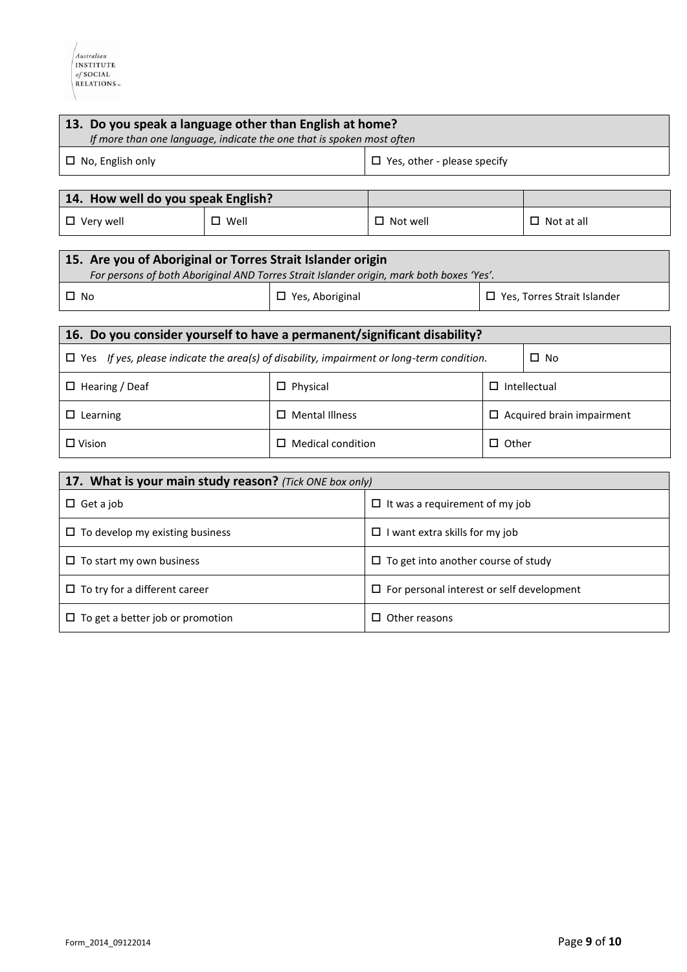| 13. Do you speak a language other than English at home?<br>If more than one language, indicate the one that is spoken most often                       |                |                                                     |                    |                                    |                   |
|--------------------------------------------------------------------------------------------------------------------------------------------------------|----------------|-----------------------------------------------------|--------------------|------------------------------------|-------------------|
| $\Box$ No, English only                                                                                                                                |                | $\Box$ Yes, other - please specify                  |                    |                                    |                   |
|                                                                                                                                                        |                |                                                     |                    |                                    |                   |
| 14. How well do you speak English?                                                                                                                     |                |                                                     |                    |                                    |                   |
| $\Box$ Very well                                                                                                                                       | $\square$ Well |                                                     | $\square$ Not well |                                    | $\Box$ Not at all |
| 15. Are you of Aboriginal or Torres Strait Islander origin<br>For persons of both Aboriginal AND Torres Strait Islander origin, mark both boxes 'Yes'. |                |                                                     |                    |                                    |                   |
| $\square$ No                                                                                                                                           |                | $\Box$ Yes, Aboriginal                              |                    | $\Box$ Yes, Torres Strait Islander |                   |
|                                                                                                                                                        |                |                                                     |                    |                                    |                   |
| 16. Do you consider yourself to have a permanent/significant disability?                                                                               |                |                                                     |                    |                                    |                   |
| $\Box$ Yes If yes, please indicate the area(s) of disability, impairment or long-term condition.<br>$\Box$ No                                          |                |                                                     |                    |                                    |                   |
| $\Box$ Hearing / Deaf                                                                                                                                  |                | $\Box$ Physical                                     |                    | $\Box$ Intellectual                |                   |
| $\square$ Learning                                                                                                                                     |                | $\square$ Mental Illness                            |                    | $\Box$ Acquired brain impairment   |                   |
| $\Box$ Vision                                                                                                                                          |                | $\Box$ Medical condition                            |                    | $\Box$ Other                       |                   |
| 17. What is your main study reason? (Tick ONE box only)                                                                                                |                |                                                     |                    |                                    |                   |
| $\Box$ Get a job                                                                                                                                       |                | $\Box$ It was a requirement of my job               |                    |                                    |                   |
| $\Box$ To develop my existing business                                                                                                                 |                | $\Box$ I want extra skills for my job               |                    |                                    |                   |
| $\Box$ To start my own business                                                                                                                        |                | $\Box$ To get into another course of study          |                    |                                    |                   |
| $\Box$ To try for a different career                                                                                                                   |                | $\square$ For personal interest or self development |                    |                                    |                   |
| $\Box$ To get a better job or promotion                                                                                                                |                | $\Box$ Other reasons                                |                    |                                    |                   |